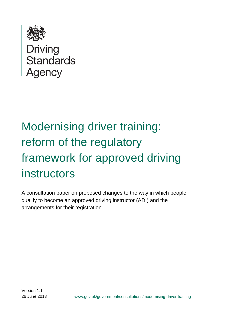

**Standards Agency** 

# Modernising driver training: reform of the regulatory framework for approved driving instructors

A consultation paper on proposed changes to the way in which people qualify to become an approved driving instructor (ADI) and the arrangements for their registration.

Version 1.1

26 June 2013 www.gov.uk/government/consultations/modernising-driver-training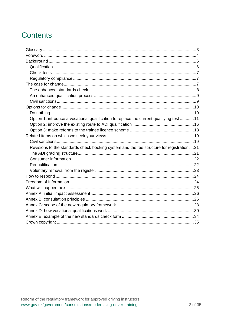# **Contents**

| Option 1: introduce a vocational qualification to replace the current qualifying test 11  |
|-------------------------------------------------------------------------------------------|
|                                                                                           |
|                                                                                           |
|                                                                                           |
|                                                                                           |
| Revisions to the standards check booking system and the fee structure for registration 21 |
|                                                                                           |
|                                                                                           |
|                                                                                           |
|                                                                                           |
|                                                                                           |
|                                                                                           |
|                                                                                           |
|                                                                                           |
|                                                                                           |
|                                                                                           |
|                                                                                           |
|                                                                                           |
|                                                                                           |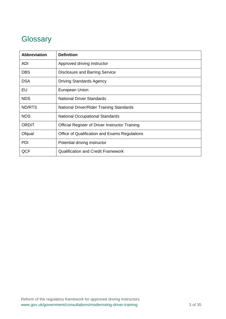# **Glossary**

| <b>Abbreviation</b> | <b>Definition</b>                                      |  |  |
|---------------------|--------------------------------------------------------|--|--|
| <b>ADI</b>          | Approved driving instructor                            |  |  |
| <b>DBS</b>          | Disclosure and Barring Service                         |  |  |
| <b>DSA</b>          | <b>Driving Standards Agency</b>                        |  |  |
| EU                  | European Union                                         |  |  |
| <b>NDS</b>          | National Driver Standards                              |  |  |
| ND/RTS              | National Driver/Rider Training Standards               |  |  |
| <b>NOS</b>          | <b>National Occupational Standards</b>                 |  |  |
| <b>ORDIT</b>        | <b>Official Register of Driver Instructor Training</b> |  |  |
| Ofqual              | Office of Qualification and Exams Regulations          |  |  |
| PDI                 | Potential driving instructor                           |  |  |
| QCF                 | <b>Qualification and Credit Framework</b>              |  |  |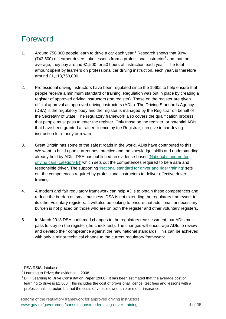# Foreword

- 1. Around 750,000 people learn to drive a car each year.<sup>1</sup> Research shows that 99%  $(742,500)$  of learner drivers take lessons from a professional instructor<sup>2</sup> and that, on average, they pay around £1,500 for 50 hours of instruction each year<sup>3</sup>. The total amount spent by learners on professional car driving instruction, each year, is therefore around £1,113,750,000.
- 2. Professional driving instructors have been regulated since the 1960s to help ensure that people receive a minimum standard of training. Regulation was put in place by creating a register of approved driving instructors (the register). Those on the register are given official approval as approved driving instructors (ADIs). The Driving Standards Agency (DSA) is the regulatory body and the register is managed by the Registrar on behalf of the Secretary of State. The regulatory framework also covers the qualification process that people must pass to enter the register. Only those on the register, or potential ADIs that have been granted a trainee licence by the Registrar, can give in-car driving instruction for money or reward.
- 3. Great Britain has some of the safest roads in the world. ADIs have contributed to this. We want to build upon current best practice and the knowledge, skills and understanding already held by ADIs. DSA has published an evidence-based ['National standard for](https://www.gov.uk/national-standard-for-driving-cars-category-b)  [driving cars \(category B\)'](https://www.gov.uk/national-standard-for-driving-cars-category-b) which sets out the competences required to be a safe and responsible driver. The supporting ['National standard for driver and rider training' s](https://www.gov.uk/national-standard-for-driver-and-rider-training)ets out the competences required by professional instructors to deliver effective driver training
- 4. A modern and fair regulatory framework can help ADIs to obtain these competences and reduce the burden on small business. DSA is not extending the regulatory framework to its other voluntary registers. It will also be looking to ensure that additional, unnecessary, burden is not placed on those who are on both the register and other voluntary registers.
- 5. In March 2013 DSA confirmed changes to the regulatory reassessment that ADIs must pass to stay on the register (the check test). The changes will encourage ADIs to review and develop their competence against the new national standards. This can be achieved with only a minor technical change to the current regulatory framework.

<sup>&</sup>lt;sup>1</sup> DSA RSIS database

 $2$  Learning to Drive; the evidence  $-2008$ 

 $3$  DFT Learning to Drive Consultation Paper (2008). It has been estimated that the average cost of learning to drive is £1,500. This includes the cost of provisional licence, test fees and lessons with a professional instructor, but not the costs of vehicle ownership or motor insurance.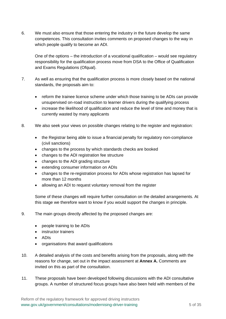6. We must also ensure that those entering the industry in the future develop the same competences. This consultation invites comments on proposed changes to the way in which people qualify to become an ADI.

One of the options – the introduction of a vocational qualification – would see regulatory responsibility for the qualification process move from DSA to the Office of Qualification and Exams Regulations (Ofqual).

- 7. As well as ensuring that the qualification process is more closely based on the national standards, the proposals aim to:
	- reform the trainee licence scheme under which those training to be ADIs can provide unsupervised on-road instruction to learner drivers during the qualifying process
	- increase the likelihood of qualification and reduce the level of time and money that is currently wasted by many applicants
- 8. We also seek your views on possible changes relating to the register and registration:
	- the Registrar being able to issue a financial penalty for regulatory non-compliance (civil sanctions)
	- changes to the process by which standards checks are booked
	- changes to the ADI registration fee structure
	- changes to the ADI grading structure
	- extending consumer information on ADIs
	- changes to the re-registration process for ADIs whose registration has lapsed for more than 12 months
	- allowing an ADI to request voluntary removal from the register

Some of these changes will require further consultation on the detailed arrangements. At this stage we therefore want to know if you would support the changes in principle.

- 9. The main groups directly affected by the proposed changes are:
	- people training to be ADIs
	- instructor trainers
	- ADIs
	- organisations that award qualifications
- 10. A detailed analysis of the costs and benefits arising from the proposals, along with the reasons for change, set out in the impact assessment at **Annex A.** Comments are invited on this as part of the consultation.
- 11. These proposals have been developed following discussions with the ADI consultative groups. A number of structured focus groups have also been held with members of the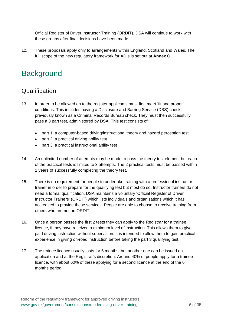Official Register of Driver Instructor Training (ORDIT). DSA will continue to work with these groups after final decisions have been made.

12. These proposals apply only to arrangements within England, Scotland and Wales. The full scope of the new regulatory framework for ADIs is set out at **Annex C**.

# **Background**

### Qualification

- 13. In order to be allowed on to the register applicants must first meet 'fit and proper' conditions. This includes having a Disclosure and Barring Service (DBS) check, previously known as a Criminal Records Bureau check. They must then successfully pass a 3 part test, administered by DSA. This test consists of:
	- part 1: a computer-based driving/instructional theory and hazard perception test
	- part 2: a practical driving ability test
	- part 3: a practical instructional ability test
- 14. An unlimited number of attempts may be made to pass the theory test element but each of the practical tests is limited to 3 attempts. The 2 practical tests must be passed within 2 years of successfully completing the theory test.
- 15. There is no requirement for people to undertake training with a professional instructor trainer in order to prepare for the qualifying test but most do so. Instructor trainers do not need a formal qualification. DSA maintains a voluntary 'Official Register of Driver Instructor Trainers' (ORDIT) which lists individuals and organisations which it has accredited to provide these services. People are able to choose to receive training from others who are not on ORDIT.
- 16. Once a person passes the first 2 tests they can apply to the Registrar for a trainee licence, if they have received a minimum level of instruction. This allows them to give paid driving instruction without supervision. It is intended to allow them to gain practical experience in giving on-road instruction before taking the part 3 qualifying test.
- 17. The trainee licence usually lasts for 6 months, but another one can be issued on application and at the Registrar's discretion. Around 40% of people apply for a trainee licence, with about 60% of these applying for a second licence at the end of the 6 months period.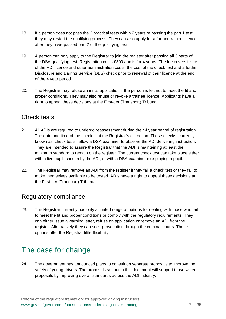- 18. If a person does not pass the 2 practical tests within 2 years of passing the part 1 test, they may restart the qualifying process. They can also apply for a further trainee licence after they have passed part 2 of the qualifying test.
- 19. A person can only apply to the Registrar to join the register after passing all 3 parts of the DSA qualifying test. Registration costs £300 and is for 4 years. The fee covers issue of the ADI licence and other administration costs, the cost of the check test and a further Disclosure and Barring Service (DBS) check prior to renewal of their licence at the end of the 4 year period.
- 20. The Registrar may refuse an initial application if the person is felt not to meet the fit and proper conditions. They may also refuse or revoke a trainee licence. Applicants have a right to appeal these decisions at the First-tier (Transport) Tribunal.

### Check tests

- 21. All ADIs are required to undergo reassessment during their 4 year period of registration. The date and time of the check is at the Registrar's discretion. These checks, currently known as 'check tests', allow a DSA examiner to observe the ADI delivering instruction. They are intended to assure the Registrar that the ADI is maintaining at least the minimum standard to remain on the register. The current check test can take place either with a live pupil, chosen by the ADI, or with a DSA examiner role-playing a pupil.
- 22. The Registrar may remove an ADI from the register if they fail a check test or they fail to make themselves available to be tested. ADIs have a right to appeal these decisions at the First-tier (Transport) Tribunal

### Regulatory compliance

23. The Registrar currently has only a limited range of options for dealing with those who fail to meet the fit and proper conditions or comply with the regulatory requirements. They can either issue a warning letter, refuse an application or remove an ADI from the register. Alternatively they can seek prosecution through the criminal courts. These options offer the Registrar little flexibility.

# The case for change

.

24. The government has announced plans to consult on separate proposals to improve the safety of young drivers. The proposals set out in this document will support those wider proposals by improving overall standards across the ADI industry.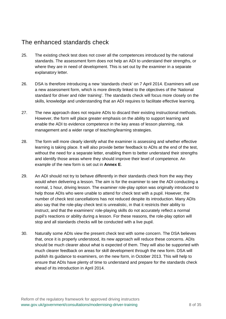### The enhanced standards check

- 25. The existing check test does not cover all the competences introduced by the national standards. The assessment form does not help an ADI to understand their strengths, or where they are in need of development. This is set out by the examiner in a separate explanatory letter.
- 26. DSA is therefore introducing a new 'standards check' on 7 April 2014. Examiners will use a new assessment form, which is more directly linked to the objectives of the 'National standard for driver and rider training'. The standards check will focus more closely on the skills, knowledge and understanding that an ADI requires to facilitate effective learning.
- 27. The new approach does not require ADIs to discard their existing instructional methods. However, the form will place greater emphasis on the ability to support learning and enable the ADI to evidence competence in the key areas of lesson planning, risk management and a wider range of teaching/learning strategies.
- 28. The form will more clearly identify what the examiner is assessing and whether effective learning is taking place. It will also provide better feedback to ADIs at the end of the test, without the need for a separate letter, enabling them to better understand their strengths and identify those areas where they should improve their level of competence. An example of the new form is set out in **Annex E**.
- 29. An ADI should not try to behave differently in their standards check from the way they would when delivering a lesson. The aim is for the examiner to see the ADI conducting a normal, 1 hour, driving lesson. The examiner role-play option was originally introduced to help those ADIs who were unable to attend for check test with a pupil. However, the number of check test cancellations has not reduced despite its introduction. Many ADIs also say that the role-play check test is unrealistic, in that it restricts their ability to instruct, and that the examiners' role-playing skills do not accurately reflect a normal pupil's reactions or ability during a lesson. For these reasons, the role-play option will stop and all standards checks will be conducted with a live pupil.
- 30. Naturally some ADIs view the present check test with some concern. The DSA believes that, once it is properly understood, its new approach will reduce these concerns. ADIs should be much clearer about what is expected of them. They will also be supported with much clearer feedback on areas for skill development through the new form. DSA will publish its guidance to examiners, on the new form, in October 2013. This will help to ensure that ADIs have plenty of time to understand and prepare for the standards check ahead of its introduction in April 2014.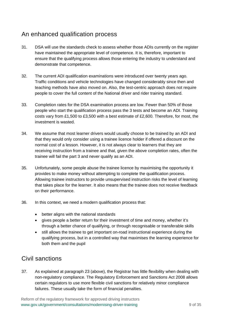### An enhanced qualification process

- 31. DSA will use the standards check to assess whether those ADIs currently on the register have maintained the appropriate level of competence. It is, therefore, important to ensure that the qualifying process allows those entering the industry to understand and demonstrate that competence.
- 32. The current ADI qualification examinations were introduced over twenty years ago. Traffic conditions and vehicle technologies have changed considerably since then and teaching methods have also moved on. Also, the test-centric approach does not require people to cover the full content of the National driver and rider training standard.
- 33. Completion rates for the DSA examination process are low. Fewer than 50% of those people who start the qualification process pass the 3 tests and become an ADI. Training costs vary from £1,500 to £3,500 with a best estimate of £2,600. Therefore, for most, the investment is wasted.
- 34. We assume that most learner drivers would usually choose to be trained by an ADI and that they would only consider using a trainee licence holder if offered a discount on the normal cost of a lesson. However, it is not always clear to learners that they are receiving instruction from a trainee and that, given the above completion rates, often the trainee will fail the part 3 and never qualify as an ADI.
- 35. Unfortunately, some people abuse the trainee licence by maximising the opportunity it provides to make money without attempting to complete the qualification process. Allowing trainee instructors to provide unsupervised instruction risks the level of learning that takes place for the learner. It also means that the trainee does not receive feedback on their performance.
- 36. In this context, we need a modern qualification process that:
	- better aligns with the national standards
	- gives people a better return for their investment of time and money, whether it's through a better chance of qualifying, or through recognisable or transferable skills
	- still allows the trainee to get important on-road instructional experience during the qualifying process, but in a controlled way that maximises the learning experience for both them and the pupil

### Civil sanctions

37. As explained at paragraph 23 (above), the Registrar has little flexibility when dealing with non-regulatory compliance. The Regulatory Enforcement and Sanctions Act 2008 allows certain regulators to use more flexible civil sanctions for relatively minor compliance failures. These usually take the form of financial penalties.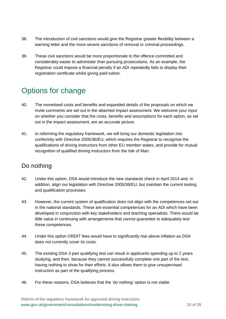- 38. The introduction of civil sanctions would give the Registrar greater flexibility between a warning letter and the more severe sanctions of removal or criminal proceedings.
- 39. These civil sanctions would be more proportionate to the offence committed and considerably easier to administer than pursuing prosecutions. As an example, the Registrar could impose a financial penalty if an ADI repeatedly fails to display their registration certificate whilst giving paid tuition.

# Options for change

- 40. The monetised costs and benefits and expanded details of the proposals on which we invite comments are set out in the attached impact assessment. We welcome your input on whether you consider that the costs, benefits and assumptions for each option, as set out in the impact assessment, are an accurate picture.
- 41. In reforming the regulatory framework, we will bring our domestic legislation into conformity with Directive 2005/36/EU, which requires the Registrar to recognise the qualifications of driving instructors from other EU member states, and provide for mutual recognition of qualified driving instructors from the Isle of Man.

### Do nothing

- 42. Under this option, DSA would introduce the new standards check in April 2014 and, in addition, align our legislation with Directive 2005/36/EU, but maintain the current testing and qualification processes.
- 43. However, the current system of qualification does not align with the competences set out in the national standards. These are essential competences for an ADI which have been developed in conjunction with key stakeholders and teaching specialists. There would be little value in continuing with arrangements that cannot guarantee to adequately test these competences.
- 44. Under this option ORDIT fees would have to significantly rise above inflation as DSA does not currently cover its costs.
- 45. The existing DSA 3 part qualifying test can result in applicants spending up to 2 years studying, and then, because they cannot successfully complete one part of the test, having nothing to show for their efforts. It also allows them to give unsupervised instruction as part of the qualifying process.
- 46. For these reasons, DSA believes that the 'do nothing' option is not viable.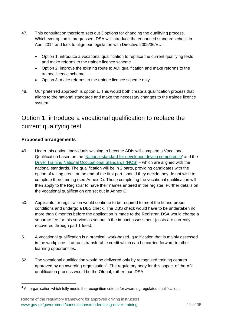- 47. This consultation therefore sets out 3 options for changing the qualifying process. Whichever option is progressed, DSA will introduce the enhanced standards check in April 2014 and look to align our legislation with Directive 2005/36/EU.
	- Option 1: introduce a vocational qualification to replace the current qualifying tests and make reforms to the trainee licence scheme
	- Option 2: improve the existing route to ADI qualification and make reforms to the trainee licence scheme
	- Option 3: make reforms to the trainee licence scheme only
- 48. Our preferred approach is option 1. This would both create a qualification process that aligns to the national standards and make the necessary changes to the trainee licence system.

## Option 1: introduce a vocational qualification to replace the current qualifying test

#### **Proposed arrangements**

 $\overline{a}$ 

- 49. Under this option, individuals wishing to become ADIs will complete a Vocational Qualification based on the ['National standard for developed driving competence'](https://www.gov.uk/national-standard-for-developed-driving-competence) and the [Driver Training National Occupational Standards \(NOS\)](http://www.people1st.co.uk/hidden-section/passenger-transport-nos/driver-training) – which are aligned with the national standards. The qualification will be in 2 parts, providing candidates with the option of taking credit at the end of the first part, should they decide they do not wish to complete their training (see Annex D). Those completing the vocational qualification will then apply to the Registrar to have their names entered in the register. Further details on the vocational qualification are set out in Annex C.
- 50. Applicants for registration would continue to be required to meet the fit and proper conditions and undergo a DBS check. The DBS check would have to be undertaken no more than 6 months before the application is made to the Registrar. DSA would charge a separate fee for this service as set out in the impact assessment (costs are currently recovered through part 1 fees).
- 51. A vocational qualification is a practical, work-based, qualification that is mainly assessed in the workplace. It attracts transferable credit which can be carried forward to other learning opportunities.
- 52. The vocational qualification would be delivered only by recognised training centres approved by an awarding organisation<sup>4</sup>. The regulatory body for this aspect of the ADI qualification process would be the Ofqual, rather than DSA.

 $4$  An organisation which fully meets the recognition criteria for awarding regulated qualifications.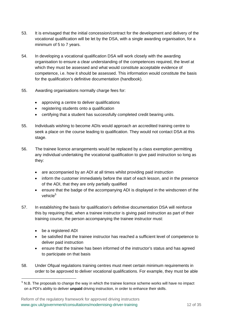- 53. It is envisaged that the initial concession/contract for the development and delivery of the vocational qualification will be let by the DSA, with a single awarding organisation, for a minimum of 5 to 7 years.
- 54. In developing a vocational qualification DSA will work closely with the awarding organisation to ensure a clear understanding of the competences required, the level at which they must be assessed and what would constitute acceptable evidence of competence, i.e. how it should be assessed. This information would constitute the basis for the qualification's definitive documentation (handbook).
- 55. Awarding organisations normally charge fees for:
	- approving a centre to deliver qualifications
	- registering students onto a qualification
	- certifying that a student has successfully completed credit bearing units.
- 55. Individuals wishing to become ADIs would approach an accredited training centre to seek a place on the course leading to qualification. They would not contact DSA at this stage.
- 56. The trainee licence arrangements would be replaced by a class exemption permitting any individual undertaking the vocational qualification to give paid instruction so long as they:
	- are accompanied by an ADI at all times whilst providing paid instruction
	- inform the customer immediately before the start of each lesson, and in the presence of the ADI, that they are only partially qualified
	- ensure that the badge of the accompanying ADI is displayed in the windscreen of the vehicle $^5$
- 57. In establishing the basis for qualification's definitive documentation DSA will reinforce this by requiring that, when a trainee instructor is giving paid instruction as part of their training course, the person accompanying the trainee instructor must:
	- be a registered ADI

- be satisfied that the trainee instructor has reached a sufficient level of competence to deliver paid instruction
- ensure that the trainee has been informed of the instructor's status and has agreed to participate on that basis
- 58. Under Ofqual regulations training centres must meet certain minimum requirements in order to be approved to deliver vocational qualifications. For example, they must be able

 $5$  N.B. The proposals to change the way in which the trainee licemce scheme works will have no impact on a PDI's ability to deliver **unpaid** driving instruction, in order to enhance their skills.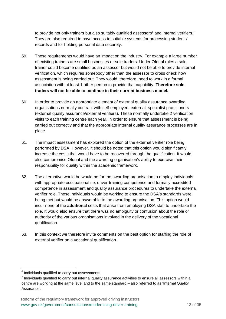to provide not only trainers but also suitably qualified assessors<sup>6</sup> and internal verifiers.<sup>7</sup> They are also required to have access to suitable systems for processing students' records and for holding personal data securely.

- 59. These requirements would have an impact on the industry. For example a large number of existing trainers are small businesses or sole traders. Under Ofqual rules a sole trainer could become qualified as an assessor but would not be able to provide internal verification, which requires somebody other than the assessor to cross check how assessment is being carried out. They would, therefore, need to work in a formal association with at least 1 other person to provide that capability. **Therefore sole traders will not be able to continue in their current business model.**
- 60. In order to provide an appropriate element of external quality assurance awarding organisations normally contract with self-employed, external, specialist practitioners (external quality assurance/external verifiers). These normally undertake 2 verification visits to each training centre each year, in order to ensure that assessment is being carried out correctly and that the appropriate internal quality assurance processes are in place.
- 61. The impact assessment has explored the option of the external verifier role being performed by DSA. However, it should be noted that this option would significantly increase the costs that would have to be recovered through the qualification. It would also compromise Ofqual and the awarding organisation's ability to exercise their responsibility for quality within the academic framework.
- 62. The alternative would be would be for the awarding organisation to employ individuals with appropriate occupational i.e. driver-training competence and formally accredited competence in assessment and quality assurance procedures to undertake the external verifier role. These individuals would be working to ensure the DSA's standards were being met but would be answerable to the awarding organisation. This option would incur none of the **additional** costs that arise from employing DSA staff to undertake the role. It would also ensure that there was no ambiguity or confusion about the role or authority of the various organisations involved in the delivery of the vocational qualification.
- 63. In this context we therefore invite comments on the best option for staffing the role of external verifier on a vocational qualification.

 $6$  Individuals qualified to carry out assessments

 $<sup>7</sup>$  Individuals qualified to carry out internal quality assurance activities to ensure all assessors within a</sup> centre are working at the same level and to the same standard – also referred to as 'Internal Quality Assurance'.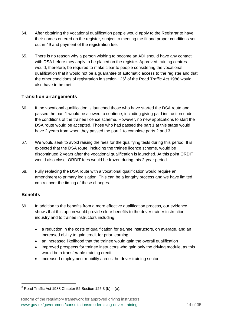- 64. After obtaining the vocational qualification people would apply to the Registrar to have their names entered on the register, subject to meeting the fit and proper conditions set out in 49 and payment of the registration fee.
- 65. There is no reason why a person wishing to become an ADI should have any contact with DSA before they apply to be placed on the register. Approved training centres would, therefore, be required to make clear to people considering the vocational qualification that it would not be a guarantee of automatic access to the register and that the other conditions of registration in section 125 $^8$  of the Road Traffic Act 1988 would also have to be met.

#### **Transition arrangements**

- 66. If the vocational qualification is launched those who have started the DSA route and passed the part 1 would be allowed to continue, including giving paid instruction under the conditions of the trainee licence scheme. However, no new applications to start the DSA route would be accepted. Those who had passed the part 1 at this stage would have 2 years from when they passed the part 1 to complete parts 2 and 3.
- 67. We would seek to avoid raising the fees for the qualifying tests during this period. It is expected that the DSA route, including the trainee licence scheme, would be discontinued 2 years after the vocational qualification is launched. At this point ORDIT would also close. ORDIT fees would be frozen during this 2-year period.
- 68. Fully replacing the DSA route with a vocational qualification would require an amendment to primary legislation. This can be a lengthy process and we have limited control over the timing of these changes.

#### **Benefits**

 $\overline{a}$ 

- 69. In addition to the benefits from a more effective qualification process, our evidence shows that this option would provide clear benefits to the driver trainer instruction industry and to trainee instructors including:
	- a reduction in the costs of qualification for trainee instructors, on average, and an increased ability to gain credit for prior learning
	- an increased likelihood that the trainee would gain the overall qualification
	- improved prospects for trainee instructors who gain only the driving module, as this would be a transferable training credit
	- increased employment mobility across the driver training sector

 $8$  Road Traffic Act 1988 Chapter 52 Section 125 3 (b) – (e).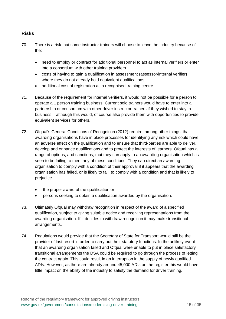#### **Risks**

- 70. There is a risk that some instructor trainers will choose to leave the industry because of the:
	- need to employ or contract for additional personnel to act as internal verifiers or enter into a consortium with other training providers
	- costs of having to gain a qualification in assessment (assessor/internal verifier) where they do not already hold equivalent qualifications
	- additional cost of registration as a recognised training centre
- 71. Because of the requirement for internal verifiers, it would not be possible for a person to operate a 1 person training business. Current solo trainers would have to enter into a partnership or consortium with other driver instructor trainers if they wished to stay in business – although this would, of course also provide them with opportunities to provide equivalent services for others.
- 72. Ofqual's General Conditions of Recognition (2012) require, among other things, that awarding organisations have in place processes for identifying any risk which could have an adverse effect on the qualification and to ensure that third-parties are able to deliver, develop and enhance qualifications and to protect the interests of learners. Ofqual has a range of options, and sanctions, that they can apply to an awarding organisation which is seen to be failing to meet any of these conditions. They can direct an awarding organisation to comply with a condition of their approval if it appears that the awarding organisation has failed, or is likely to fail, to comply with a condition and that is likely to prejudice
	- the proper award of the qualification or
	- persons seeking to obtain a qualification awarded by the organisation.
- 73. Ultimately Ofqual may withdraw recognition in respect of the award of a specified qualification, subject to giving suitable notice and receiving representations from the awarding organisation. If it decides to withdraw recognition it may make transitional arrangements.
- 74. Regulations would provide that the Secretary of State for Transport would still be the provider of last resort in order to carry out their statutory functions. In the unlikely event that an awarding organisation failed and Ofqual were unable to put in place satisfactory transitional arrangements the DSA could be required to go through the process of letting the contract again. This could result in an interruption in the supply of newly qualified ADIs. However, as there are already around 45,000 ADIs on the register this would have little impact on the ability of the industry to satisfy the demand for driver training.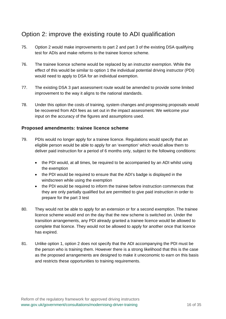### Option 2: improve the existing route to ADI qualification

- 75. Option 2 would make improvements to part 2 and part 3 of the existing DSA qualifying test for ADIs and make reforms to the trainee licence scheme.
- 76. The trainee licence scheme would be replaced by an instructor exemption. While the effect of this would be similar to option 1 the individual potential driving instructor (PDI) would need to apply to DSA for an individual exemption.
- 77. The existing DSA 3 part assessment route would be amended to provide some limited improvement to the way it aligns to the national standards.
- 78. Under this option the costs of training, system changes and progressing proposals would be recovered from ADI fees as set out in the impact assessment. We welcome your input on the accuracy of the figures and assumptions used.

#### **Proposed amendments: trainee licence scheme**

- 79. PDIs would no longer apply for a trainee licence. Regulations would specify that an eligible person would be able to apply for an 'exemption' which would allow them to deliver paid instruction for a period of 6 months only, subject to the following conditions:
	- the PDI would, at all times, be required to be accompanied by an ADI whilst using the exemption
	- the PDI would be required to ensure that the ADI's badge is displayed in the windscreen while using the exemption
	- the PDI would be required to inform the trainee before instruction commences that they are only partially qualified but are permitted to give paid instruction in order to prepare for the part 3 test
- 80. They would not be able to apply for an extension or for a second exemption. The trainee licence scheme would end on the day that the new scheme is switched on. Under the transition arrangements, any PDI already granted a trainee licence would be allowed to complete that licence. They would not be allowed to apply for another once that licence has expired.
- 81. Unlike option 1, option 2 does not specify that the ADI accompanying the PDI must be the person who is training them. However there is a strong likelihood that this is the case as the proposed arrangements are designed to make it uneconomic to earn on this basis and restricts these opportunities to training requirements.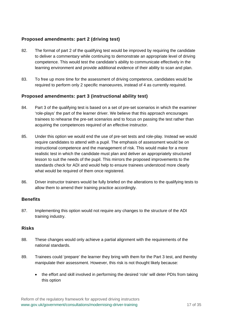#### **Proposed amendments: part 2 (driving test)**

- 82. The format of part 2 of the qualifying test would be improved by requiring the candidate to deliver a commentary while continuing to demonstrate an appropriate level of driving competence. This would test the candidate's ability to communicate effectively in the learning environment and provide additional evidence of their ability to scan and plan.
- 83. To free up more time for the assessment of driving competence, candidates would be required to perform only 2 specific manoeuvres, instead of 4 as currently required.

#### **Proposed amendments: part 3 (instructional ability test)**

- 84. Part 3 of the qualifying test is based on a set of pre-set scenarios in which the examiner 'role-plays' the part of the learner driver. We believe that this approach encourages trainees to rehearse the pre-set scenarios and to focus on passing the test rather than acquiring the competences required of an effective instructor.
- 85. Under this option we would end the use of pre-set tests and role-play. Instead we would require candidates to attend with a pupil. The emphasis of assessment would be on instructional competence and the management of risk. This would make for a more realistic test in which the candidate must plan and deliver an appropriately structured lesson to suit the needs of the pupil. This mirrors the proposed improvements to the standards check for ADI and would help to ensure trainees understood more clearly what would be required of them once registered.
- 86. Driver instructor trainers would be fully briefed on the alterations to the qualifying tests to allow them to amend their training practice accordingly.

#### **Benefits**

87. Implementing this option would not require any changes to the structure of the ADI training industry.

#### **Risks**

- 88. These changes would only achieve a partial alignment with the requirements of the national standards.
- 89. Trainees could 'prepare' the learner they bring with them for the Part 3 test, and thereby manipulate their assessment. However, this risk is not thought likely because:
	- the effort and skill involved in performing the desired 'role' will deter PDIs from taking this option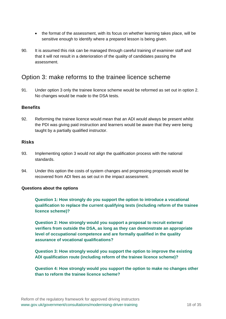- the format of the assessment, with its focus on whether learning takes place, will be sensitive enough to identify where a prepared lesson is being given.
- 90. It is assumed this risk can be managed through careful training of examiner staff and that it will not result in a deterioration of the quality of candidates passing the assessment.

### Option 3: make reforms to the trainee licence scheme

91. Under option 3 only the trainee licence scheme would be reformed as set out in option 2. No changes would be made to the DSA tests.

#### **Benefits**

92. Reforming the trainee licence would mean that an ADI would always be present whilst the PDI was giving paid instruction and learners would be aware that they were being taught by a partially qualified instructor.

#### **Risks**

- 93. Implementing option 3 would not align the qualification process with the national standards.
- 94. Under this option the costs of system changes and progressing proposals would be recovered from ADI fees as set out in the impact assessment.

#### **Questions about the options**

**Question 1: How strongly do you support the option to introduce a vocational qualification to replace the current qualifying tests (including reform of the trainee licence scheme)?** 

**Question 2: How strongly would you support a proposal to recruit external verifiers from outside the DSA, as long as they can demonstrate an appropriate level of occupational competence and are formally qualified in the quality assurance of vocational qualifications?** 

**Question 3: How strongly would you support the option to improve the existing ADI qualification route (including reform of the trainee licence scheme)?** 

**Question 4: How strongly would you support the option to make no changes other than to reform the trainee licence scheme?**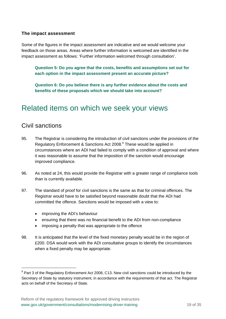#### **The impact assessment**

Some of the figures in the impact assessment are indicative and we would welcome your feedback on those areas. Areas where further information is welcomed are identified in the impact assessment as follows: 'Further information welcomed through consultation'.

**Question 5: Do you agree that the costs, benefits and assumptions set out for each option in the impact assessment present an accurate picture?** 

**Question 6: Do you believe there is any further evidence about the costs and benefits of these proposals which we should take into account?** 

# Related items on which we seek your views

### Civil sanctions

- 95. The Registrar is considering the introduction of civil sanctions under the provisions of the Regulatory Enforcement & Sanctions Act 2008.<sup>9</sup> These would be applied in circumstances where an ADI had failed to comply with a condition of approval and where it was reasonable to assume that the imposition of the sanction would encourage improved compliance.
- 96. As noted at 24, this would provide the Registrar with a greater range of compliance tools than is currently available.
- 97. The standard of proof for civil sanctions is the same as that for criminal offences. The Registrar would have to be satisfied beyond reasonable doubt that the ADI had committed the offence. Sanctions would be imposed with a view to:
	- improving the ADI's behaviour
	- ensuring that there was no financial benefit to the ADI from non-compliance
	- imposing a penalty that was appropriate to the offence
- 98. It is anticipated that the level of the fixed monetary penalty would be in the region of £200. DSA would work with the ADI consultative groups to identify the circumstances when a fixed penalty may be appropriate.

 $9$  Part 3 of the Regulatory Enforcement Act 2008, C13. New civil sanctions could be introduced by the Secretary of State by statutory instrument, in accordance with the requirements of that act. The Registrar acts on behalf of the Secretary of State.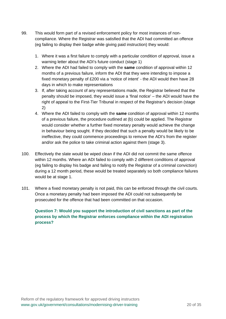- 99. This would form part of a revised enforcement policy for most instances of noncompliance. Where the Registrar was satisfied that the ADI had committed an offence (eg failing to display their badge while giving paid instruction) they would:
	- 1. Where it was a first failure to comply with a particular condition of approval, issue a warning letter about the ADI's future conduct (stage 1)
	- 2. Where the ADI had failed to comply with the **same** condition of approval within 12 months of a previous failure, inform the ADI that they were intending to impose a fixed monetary penalty of £200 via a 'notice of intent' - the ADI would then have 28 days in which to make representations
	- 3. If, after taking account of any representations made, the Registrar believed that the penalty should be imposed, they would issue a 'final notice' – the ADI would have the right of appeal to the First-Tier Tribunal in respect of the Registrar's decision (stage 2)
	- 4. Where the ADI failed to comply with the **same** condition of approval within 12 months of a previous failure, the procedure outlined at (b) could be applied. The Registrar would consider whether a further fixed monetary penalty would achieve the change in behaviour being sought. If they decided that such a penalty would be likely to be ineffective, they could commence proceedings to remove the ADI's from the register and/or ask the police to take criminal action against them (stage 3).
- 100. Effectively the slate would be wiped clean if the ADI did not commit the same offence within 12 months. Where an ADI failed to comply with 2 different conditions of approval (eg failing to display his badge and failing to notify the Registrar of a criminal conviction) during a 12 month period, these would be treated separately so both compliance failures would be at stage 1.
- 101. Where a fixed monetary penalty is not paid, this can be enforced through the civil courts. Once a monetary penalty had been imposed the ADI could not subsequently be prosecuted for the offence that had been committed on that occasion.

**Question 7: Would you support the introduction of civil sanctions as part of the process by which the Registrar enforces compliance within the ADI registration process?**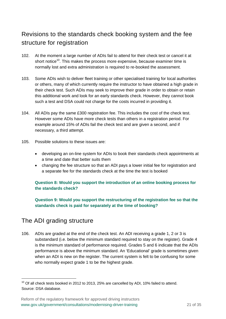### Revisions to the standards check booking system and the fee structure for registration

- 102. At the moment a large number of ADIs fail to attend for their check test or cancel it at short notice<sup>10</sup>. This makes the process more expensive, because examiner time is normally lost and extra administration is required to re-booked the assessment.
- 103. Some ADIs wish to deliver fleet training or other specialised training for local authorities or others, many of which currently require the instructor to have obtained a high grade in their check test. Such ADIs may seek to improve their grade in order to obtain or retain this additional work and look for an early standards check. However, they cannot book such a test and DSA could not charge for the costs incurred in providing it.
- 104. All ADIs pay the same £300 registration fee. This includes the cost of the check test. However some ADIs have more check tests than others in a registration period. For example around 15% of ADIs fail the check test and are given a second, and if necessary, a third attempt.
- 105. Possible solutions to these issues are:
	- developing an on-line system for ADIs to book their standards check appointments at a time and date that better suits them
	- changing the fee structure so that an ADI pays a lower initial fee for registration and a separate fee for the standards check at the time the test is booked

#### **Question 8: Would you support the introduction of an online booking process for the standards check?**

**Question 9: Would you support the restructuring of the registration fee so that the standards check is paid for separately at the time of booking?** 

### The ADI grading structure

106. ADIs are graded at the end of the check test. An ADI receiving a grade 1, 2 or 3 is substandard (i.e. below the minimum standard required to stay on the register). Grade 4 is the minimum standard of performance required. Grades 5 and 6 indicate that the ADIs performance is above the minimum standard. An 'Educational' grade is sometimes given when an ADI is new on the register. The current system is felt to be confusing for some who normally expect grade 1 to be the highest grade.

 $10$  Of all check tests booked in 2012 to 2013, 25% are cancelled by ADI, 10% failed to attend. Source: DSA database.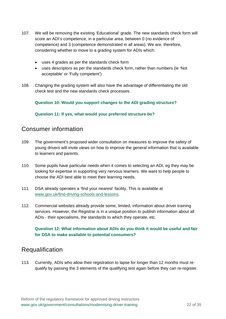- 107. We will be removing the existing 'Educational' grade. The new standards check form will score an ADI's competence, in a particular area, between 0 (no evidence of competence) and 3 (competence demonstrated in all areas). We are, therefore, considering whether to move to a grading system for ADIs which:
	- uses 4 grades as per the standards check form
	- uses descriptors as per the standards check form, rather than numbers (ie 'Not acceptable' or 'Fully competent')
- 108. Changing the grading system will also have the advantage of differentiating the old check test and the new standards check processes.

**Question 10: Would you support changes to the ADI grading structure?** 

**Question 11: If yes, what would your preferred structure be?** 

### Consumer information

- 109. The government's proposed wider consultation on measures to improve the safety of young drivers will invite views on how to improve the general information that is available to learners and parents.
- 110. Some pupils have particular needs when it comes to selecting an ADI, eg they may be looking for expertise in supporting very nervous learners. We want to help people to choose the ADI best able to meet their learning needs.
- 111. DSA already operates a 'find your nearest' facility. This is available at www.gov.uk/find-driving-schools-and-lessons.
- 112. Commercial websites already provide some, limited, information about driver training services. However, the Registrar is in a unique position to publish information about all ADIs - their specialisms, the standards to which they operate, etc.

#### **Question 12: What information about ADIs do you think it would be useful and fair for DSA to make available to potential consumers?**

### Requalification

113. Currently, ADIs who allow their registration to lapse for longer than 12 months must requalify by passing the 3 elements of the qualifying test again before they can re-register.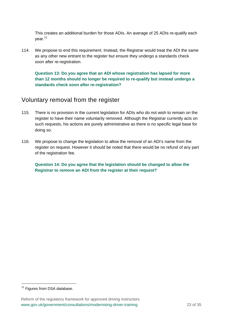This creates an additional burden for those ADIs. An average of 25 ADIs re-qualify each vear.<sup>11</sup>

114. We propose to end this requirement. Instead, the Registrar would treat the ADI the same as any other new entrant to the register but ensure they undergo a standards check soon after re-registration.

**Question 13: Do you agree that an ADI whose registration has lapsed for more than 12 months should no longer be required to re-qualify but instead undergo a standards check soon after re-registration?** 

### Voluntary removal from the register

- 115. There is no provision in the current legislation for ADIs who do not wish to remain on the register to have their name voluntarily removed. Although the Registrar currently acts on such requests, his actions are purely administrative as there is no specific legal base for doing so.
- 116. We propose to change the legislation to allow the removal of an ADI's name from the register on request. However it should be noted that there would be no refund of any part of the registration fee.

**Question 14: Do you agree that the legislation should be changed to allow the Registrar to remove an ADI from the register at their request?** 

 $\overline{a}$ 

 $11$  Figures from DSA database.

Reform of the regulatory framework for approved driving instructors www.gov.uk/government/consultations/modernising-driver-training 23 of 35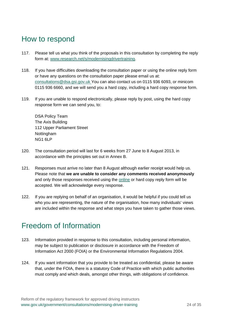# How to respond

- 117. Please tell us what you think of the proposals in this consultation by completing the reply form at: www.research.net/s/modernisingdrivertraining.
- 118. If you have difficulties downloading the consultation paper or using the online reply form or have any questions on the consultation paper please email us at: consultations@dsa.gsi.gov.uk You can also contact us on 0115 936 6093, or minicom 0115 936 6660, and we will send you a hard copy, including a hard copy response form.
- 119. If you are unable to respond electronically, please reply by post, using the hard copy response form we can send you, to:

DSA Policy Team The Axis Building 112 Upper Parliament Street **Nottingham** NG1 6LP

- 120. The consultation period will last for 6 weeks from 27 June to 8 August 2013, in accordance with the principles set out in Annex B.
- 121. Responses must arrive no later than 8 August although earlier receipt would help us. Please note that **we are unable to consider any comments received anonymously** and only those responses received using the [online o](http://www.research.net/s/modernisingdrivertraining)r hard copy reply form will be accepted. We will acknowledge every response.
- 122. If you are replying on behalf of an organisation, it would be helpful if you could tell us who you are representing, the nature of the organisation, how many individuals' views are included within the response and what steps you have taken to gather those views.

# Freedom of Information

- 123. Information provided in response to this consultation, including personal information, may be subject to publication or disclosure in accordance with the Freedom of Information Act 2000 (FOIA) or the Environmental Information Regulations 2004.
- 124. If you want information that you provide to be treated as confidential, please be aware that, under the FOIA, there is a statutory Code of Practice with which public authorities must comply and which deals, amongst other things, with obligations of confidence.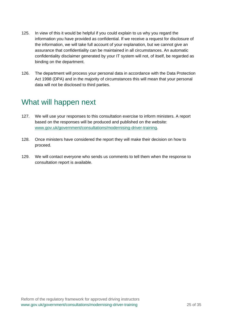- 125. In view of this it would be helpful if you could explain to us why you regard the information you have provided as confidential. If we receive a request for disclosure of the information, we will take full account of your explanation, but we cannot give an assurance that confidentiality can be maintained in all circumstances. An automatic confidentiality disclaimer generated by your IT system will not, of itself, be regarded as binding on the department.
- 126. The department will process your personal data in accordance with the Data Protection Act 1998 (DPA) and in the majority of circumstances this will mean that your personal data will not be disclosed to third parties.

# What will happen next

- 127. We will use your responses to this consultation exercise to inform ministers. A report based on the responses will be produced and published on the website: www.gov.uk/government/consultations/modernising-driver-training.
- 128. Once ministers have considered the report they will make their decision on how to proceed.
- 129. We will contact everyone who sends us comments to tell them when the response to consultation report is available.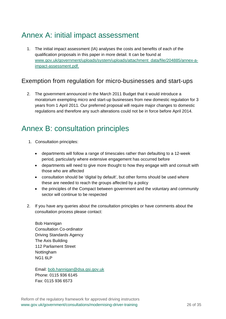# Annex A: initial impact assessment

1. The initial impact assessment (IA) analyses the costs and benefits of each of the qualification proposals in this paper in more detail. It can be found at www.gov.uk/government/uploads/system/uploads/attachment\_data/file/204885/annex-aimpact-assessment.pdf.

### Exemption from regulation for micro-businesses and start-ups

2. The government announced in the March 2011 Budget that it would introduce a moratorium exempting micro and start-up businesses from new domestic regulation for 3 years from 1 April 2011. Our preferred proposal will require major changes to domestic regulations and therefore any such alterations could not be in force before April 2014.

# Annex B: consultation principles

- 1. Consultation principles:
	- departments will follow a range of timescales rather than defaulting to a 12-week period, particularly where extensive engagement has occurred before
	- departments will need to give more thought to how they engage with and consult with those who are affected
	- consultation should be 'digital by default', but other forms should be used where these are needed to reach the groups affected by a policy
	- the principles of the Compact between government and the voluntary and community sector will continue to be respected
- 2. If you have any queries about the consultation principles or have comments about the consultation process please contact:

Bob Hannigan Consultation Co-ordinator Driving Standards Agency The Axis Building 112 Parliament Street **Nottingham** NG1 6LP

Email: bob.hannigan@dsa.gsi.gov.uk Phone: 0115 936 6145 Fax: 0115 936 6573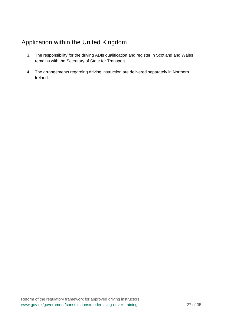### Application within the United Kingdom

- 3. The responsibility for the driving ADIs qualification and register in Scotland and Wales remains with the Secretary of State for Transport.
- 4. The arrangements regarding driving instruction are delivered separately in Northern Ireland.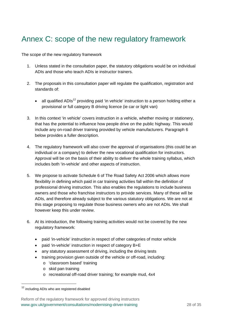# Annex C: scope of the new regulatory framework

The scope of the new regulatory framework

- 1. Unless stated in the consultation paper, the statutory obligations would be on individual ADIs and those who teach ADIs ie instructor trainers.
- 2. The proposals in this consultation paper will regulate the qualification, registration and standards of:
	- all qualified ADIs<sup>12</sup> providing paid 'in vehicle' instruction to a person holding either a provisional or full category B driving licence (ie car or light van)
- 3. In this context 'in vehicle' covers instruction in a vehicle, whether moving or stationery, that has the potential to influence how people drive on the public highway. This would include any on-road driver training provided by vehicle manufacturers. Paragraph 6 below provides a fuller description.
- 4. The regulatory framework will also cover the approval of organisations (this could be an individual or a company) to deliver the new vocational qualification for instructors. Approval will be on the basis of their ability to deliver the whole training syllabus, which includes both 'in-vehicle' and other aspects of instruction.
- 5. We propose to activate Schedule 6 of The Road Safety Act 2006 which allows more flexibility in defining which paid in car training activities fall within the definition of professional driving instruction. This also enables the regulations to include business owners and those who franchise instructors to provide services. Many of these will be ADIs, and therefore already subject to the various statutory obligations. We are not at this stage proposing to regulate those business owners who are not ADIs. We shall however keep this under review.
- 6. At its introduction, the following training activities would not be covered by the new regulatory framework:
	- paid 'in-vehicle' instruction in respect of other categories of motor vehicle
	- paid 'in-vehicle' instruction in respect of category B+E
	- any statutory assessment of driving, including the driving tests
	- training provision given outside of the vehicle or off-road, including:
		- o 'classroom based' training
		- o skid pan training
		- o recreational off-road driver training; for example mud, 4x4

<sup>&</sup>lt;sup>12</sup> including ADIs who are registered disabled

Reform of the regulatory framework for approved driving instructors www.gov.uk/government/consultations/modernising-driver-training 28 of 35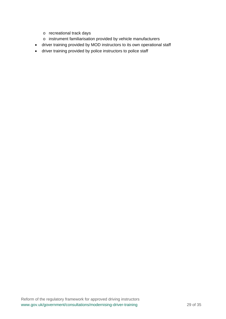- o recreational track days
- o instrument familiarisation provided by vehicle manufacturers
- driver training provided by MOD instructors to its own operational staff
- driver training provided by police instructors to police staff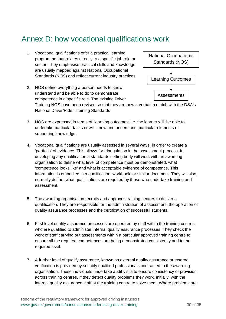# Annex D: how vocational qualifications work

1. Vocational qualifications offer a practical learning programme that relates directly to a specific job role or sector. They emphasise practical skills and knowledge, are usually mapped against National Occupational Standards (NOS) and reflect current industry practices.



2. NOS define everything a person needs to know, understand and be able to do to demonstrate competence in a specific role. The existing Driver

Training NOS have been revised so that they are now a verbatim match with the DSA's National Driver/Rider Training Standards

- 3. NOS are expressed in terms of 'learning outcomes' i.e. the learner will 'be able to' undertake particular tasks or will 'know and understand' particular elements of supporting knowledge.
- 4. Vocational qualifications are usually assessed in several ways, in order to create a 'portfolio' of evidence. This allows for triangulation in the assessment process. In developing any qualification a standards setting body will work with an awarding organisation to define what level of competence must be demonstrated, what 'competence looks like' and what is acceptable evidence of competence. This information is embodied in a qualification 'workbook' or similar document. They will also, normally define, what qualifications are required by those who undertake training and assessment.
- 5. The awarding organisation recruits and approves training centres to deliver a qualification. They are responsible for the administration of assessment, the operation of quality assurance processes and the certification of successful students.
- 6. First level quality assurance processes are operated by staff within the training centres, who are qualified to administer internal quality assurance processes. They check the work of staff carrying out assessments within a particular approved training centre to ensure all the required competences are being demonstrated consistently and to the required level.
- 7. A further level of qualify assurance, known as external quality assurance or external verification is provided by suitably qualified professionals contracted to the awarding organisation. These individuals undertake audit visits to ensure consistency of provision across training centres. If they detect quality problems they work, initially, with the internal quality assurance staff at the training centre to solve them. Where problems are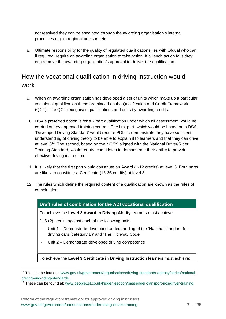not resolved they can be escalated through the awarding organisation's internal processes e.g. to regional advisors etc.

8. Ultimate responsibility for the quality of regulated qualifications lies with Ofqual who can, if required, require an awarding organisation to take action. If all such action fails they can remove the awarding organisation's approval to deliver the qualification.

### How the vocational qualification in driving instruction would work

- 9. When an awarding organisation has developed a set of units which make up a particular vocational qualification these are placed on the Qualification and Credit Framework (QCF). The QCF recognises qualifications and units by awarding credits.
- 10. DSA's preferred option is for a 2 part qualification under which all assessment would be carried out by approved training centres. The first part, which would be based on a DSA 'Developed Driving Standard' would require PDIs to demonstrate they have sufficient understanding of driving theory to be able to explain it to learners and that they can drive at level  $3^{13}$ . The second, based on the NOS $^{14}$  aligned with the National Driver/Rider Training Standard, would require candidates to demonstrate their ability to provide effective driving instruction.
- 11. It is likely that the first part would constitute an Award (1-12 credits) at level 3. Both parts are likely to constitute a Certificate (13-36 credits) at level 3.
- 12. The rules which define the required content of a qualification are known as the rules of combination.

#### **Draft rules of combination for the ADI vocational qualification**

To achieve the **Level 3 Award in Driving Ability** learners must achieve:

- 1- 6 (?) credits against each of the following units:
- Unit 1 Demonstrate developed understanding of the 'National standard for driving cars (category B)' and 'The Highway Code'
- Unit 2 Demonstrate developed driving competence

To achieve the **Level 3 Certificate in Driving Instruction** learners must achieve:

<sup>&</sup>lt;sup>13</sup> This can be found at www.gov.uk/government/organisations/driving-standards-agency/series/nationaldriving-and-riding-standards

<sup>&</sup>lt;sup>14</sup> These can be found at: www.people1st.co.uk/hidden-section/passenger-transport-nos/driver-training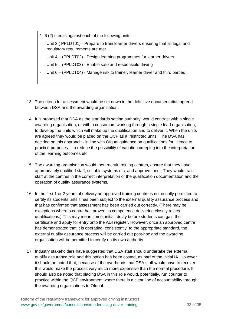1- 6 (?) credits against each of the following units:

- Unit 3 ( PPLDT01) Prepare to train learner drivers ensuring that all legal and regulatory requirements are met
- Unit 4 (PPLDT02) Design learning programmes for learner drivers
- Unit 5 (PPLDT03) Enable safe and responsible driving
- Unit 6 (PPLDT04) Manage risk to trainer, learner driver and third parties
- 13. The criteria for assessment would be set down in the definitive documentation agreed between DSA and the awarding organisation.
- 14. It is proposed that DSA as the standards setting authority, would contract with a single awarding organisation, or with a consortium working through a single lead organisation, to develop the units which will make up the qualification and to deliver it. When the units are agreed they would be placed on the QCF as a 'restricted units'. The DSA has decided on this approach - in line with Ofqual guidance on qualifications for licence to practice purposes – to reduce the possibility of variation creeping into the interpretation of the learning outcomes etc.
- 15. The awarding organisation would then recruit training centres, ensure that they have appropriately qualified staff, suitable systems etc, and approve them. They would train staff at the centres in the correct interpretation of the qualification documentation and the operation of quality assurance systems.
- 16. In the first 1 or 2 years of delivery an approved training centre is not usually permitted to certify its students until it has been subject to the external quality assurance process and that has confirmed that assessment has been carried out correctly. (There may be exceptions where a centre has proved its competence delivering closely related qualifications.) This may mean some, initial, delay before students can gain their certificate and apply for entry onto the ADI register. However, once an approved centre has demonstrated that it is operating, consistently, to the appropriate standard, the external quality assurance process will be carried out post-hoc and the awarding organisation will be permitted to certify on its own authority.
- 17. Industry stakeholders have suggested that DSA staff should undertake the external qualify assurance role and this option has been costed, as part of the initial IA. However it should be noted that, because of the overheads that DSA staff would have to recover, this would make the process very much more expensive than the normal procedure. It should also be noted that placing DSA in this role would, potentially, run counter to practice within the QCF environment where there is a clear line of accountability through the awarding organisations to Ofqual.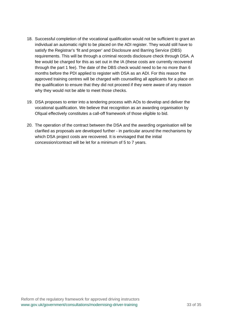- 18. Successful completion of the vocational qualification would not be sufficient to grant an individual an automatic right to be placed on the ADI register. They would still have to satisfy the Registrar's 'fit and proper' and Disclosure and Barring Service (DBS) requirements. This will be through a criminal records disclosure check through DSA. A fee would be charged for this as set out in the IA (these costs are currently recovered through the part 1 fee). The date of the DBS check would need to be no more than 6 months before the PDI applied to register with DSA as an ADI. For this reason the approved training centres will be charged with counselling all applicants for a place on the qualification to ensure that they did not proceed if they were aware of any reason why they would not be able to meet those checks.
- 19. DSA proposes to enter into a tendering process with AOs to develop and deliver the vocational qualification. We believe that recognition as an awarding organisation by Ofqual effectively constitutes a call-off framework of those eligible to bid.
- 20. The operation of the contract between the DSA and the awarding organisation will be clarified as proposals are developed further - in particular around the mechanisms by which DSA project costs are recovered. It is envisaged that the initial concession/contract will be let for a minimum of 5 to 7 years.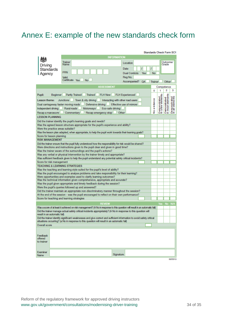# Annex E: example of the new standards check form

|                                                                                                                                                    |                                                                                                                                                                                                                                               | <b>Standards Check Form SC1</b>                                                                        |                            |  |  |
|----------------------------------------------------------------------------------------------------------------------------------------------------|-----------------------------------------------------------------------------------------------------------------------------------------------------------------------------------------------------------------------------------------------|--------------------------------------------------------------------------------------------------------|----------------------------|--|--|
|                                                                                                                                                    | <b>INFORMATION</b>                                                                                                                                                                                                                            |                                                                                                        |                            |  |  |
|                                                                                                                                                    |                                                                                                                                                                                                                                               | Outcome/                                                                                               |                            |  |  |
| Driving                                                                                                                                            | Trainer<br>Name                                                                                                                                                                                                                               | Location<br>Grade                                                                                      |                            |  |  |
| Standards                                                                                                                                          |                                                                                                                                                                                                                                               | Date                                                                                                   |                            |  |  |
| Agency                                                                                                                                             | PRN                                                                                                                                                                                                                                           | No<br><b>Dual Controls</b><br>Yes                                                                      |                            |  |  |
|                                                                                                                                                    | Valid                                                                                                                                                                                                                                         | Reg No.                                                                                                |                            |  |  |
|                                                                                                                                                    | Certificate Yes<br><b>No</b>                                                                                                                                                                                                                  |                                                                                                        |                            |  |  |
|                                                                                                                                                    |                                                                                                                                                                                                                                               | Accompanied?<br>QA<br><b>Trainer</b><br>Other                                                          |                            |  |  |
|                                                                                                                                                    | <b>ASSESSMENT</b>                                                                                                                                                                                                                             | Competence                                                                                             |                            |  |  |
|                                                                                                                                                    |                                                                                                                                                                                                                                               | 2<br>1<br>o                                                                                            | з                          |  |  |
| Pupil:<br>Beginner                                                                                                                                 | Partly Trained<br>Trained<br><b>FLH New</b>                                                                                                                                                                                                   | <b>FLH Experienced</b>                                                                                 |                            |  |  |
| Lesson theme:                                                                                                                                      | <b>Junctions</b><br>Town & city driving                                                                                                                                                                                                       | emonstrated<br>a few elements<br>Demonstrated<br>In most elements<br>Interacting with other road users | monstrated<br>all elements |  |  |
| Dual carriageway faster moving roads                                                                                                               | Defensive driving                                                                                                                                                                                                                             | Noewdence<br>Effective use of mirrors                                                                  |                            |  |  |
| Independent driving                                                                                                                                | Rural roads<br>Eco-safe driving<br>Motorways I                                                                                                                                                                                                |                                                                                                        |                            |  |  |
|                                                                                                                                                    |                                                                                                                                                                                                                                               | ă٤                                                                                                     | దిక                        |  |  |
| Recap a manoeuvre                                                                                                                                  | Commentary<br>Recap emergency stop                                                                                                                                                                                                            | Other                                                                                                  |                            |  |  |
| <b>LESSON PLANNING</b>                                                                                                                             |                                                                                                                                                                                                                                               |                                                                                                        |                            |  |  |
|                                                                                                                                                    | Did the trainer identify the pupil's learning goals and needs?                                                                                                                                                                                |                                                                                                        |                            |  |  |
|                                                                                                                                                    | Was the agreed lesson structure appropriate for the pupil's experience and ability?                                                                                                                                                           |                                                                                                        |                            |  |  |
| Were the practice areas suitable?                                                                                                                  |                                                                                                                                                                                                                                               |                                                                                                        |                            |  |  |
|                                                                                                                                                    | Was the lesson plan adapted, when appropriate, to help the pupil work towards their learning goals?                                                                                                                                           |                                                                                                        |                            |  |  |
| Score for lesson planning                                                                                                                          |                                                                                                                                                                                                                                               |                                                                                                        |                            |  |  |
| <b>RISK MANAGEMENT</b>                                                                                                                             |                                                                                                                                                                                                                                               |                                                                                                        |                            |  |  |
|                                                                                                                                                    | Did the trainer ensure that the pupil fully understood how the responsibility for risk would be shared?                                                                                                                                       |                                                                                                        |                            |  |  |
|                                                                                                                                                    | Were directions and instructions given to the pupil clear and given in good time?                                                                                                                                                             |                                                                                                        |                            |  |  |
|                                                                                                                                                    | Was the trainer aware of the surroundings and the pupil's actions?                                                                                                                                                                            |                                                                                                        |                            |  |  |
|                                                                                                                                                    | Was any verbal or physical intervention by the trainer timely and appropriate?                                                                                                                                                                |                                                                                                        |                            |  |  |
| Was sufficient feedback given to help the pupil understand any potential safety critical incidents?                                                |                                                                                                                                                                                                                                               |                                                                                                        |                            |  |  |
| Score for risk management                                                                                                                          |                                                                                                                                                                                                                                               |                                                                                                        |                            |  |  |
| TEACHING & LEARNING STRATEGIES                                                                                                                     |                                                                                                                                                                                                                                               |                                                                                                        |                            |  |  |
|                                                                                                                                                    | Was the teaching and learning style suited for the pupil's level of ability?<br>Was the pupil encouraged to analyse problems and take responsibility for their learning?                                                                      |                                                                                                        |                            |  |  |
|                                                                                                                                                    |                                                                                                                                                                                                                                               |                                                                                                        |                            |  |  |
| Were opportunities and examples used to clarify learning outcomes?<br>Was the technical information given comprehensive, appropriate and accurate? |                                                                                                                                                                                                                                               |                                                                                                        |                            |  |  |
| Was the pupil given appropriate and timely feedback during the session?                                                                            |                                                                                                                                                                                                                                               |                                                                                                        |                            |  |  |
| Were the pupil's queries followed up and answered?                                                                                                 |                                                                                                                                                                                                                                               |                                                                                                        |                            |  |  |
| Did the trainer maintain an appropriate non-discriminatory manner throughout the session?                                                          |                                                                                                                                                                                                                                               |                                                                                                        |                            |  |  |
| At the end of the session - was the pupil encouraged to reflect on their own performance?                                                          |                                                                                                                                                                                                                                               |                                                                                                        |                            |  |  |
| Score for teaching and learning strategies                                                                                                         |                                                                                                                                                                                                                                               |                                                                                                        |                            |  |  |
|                                                                                                                                                    | <b>REVIEW</b>                                                                                                                                                                                                                                 |                                                                                                        |                            |  |  |
|                                                                                                                                                    |                                                                                                                                                                                                                                               | Yes No N/A                                                                                             |                            |  |  |
|                                                                                                                                                    | Was a score of at least 8 achieved on risk management? (A No in response to this question will result in an automatic fail)<br>Did the trainer manage actual safety critical incidents appropriately? (A No in response to this question will |                                                                                                        |                            |  |  |
| result in an automatic fail)                                                                                                                       |                                                                                                                                                                                                                                               |                                                                                                        |                            |  |  |
| Did the trainer identify significant weaknesses and give correct and sufficient information to avoid safety critical                               |                                                                                                                                                                                                                                               |                                                                                                        |                            |  |  |
| situations occurring? (a No in response to this question will result in an automatic fail)                                                         |                                                                                                                                                                                                                                               |                                                                                                        |                            |  |  |
| Overall score                                                                                                                                      |                                                                                                                                                                                                                                               |                                                                                                        |                            |  |  |
|                                                                                                                                                    |                                                                                                                                                                                                                                               |                                                                                                        |                            |  |  |
|                                                                                                                                                    |                                                                                                                                                                                                                                               |                                                                                                        |                            |  |  |
| Feedback                                                                                                                                           |                                                                                                                                                                                                                                               |                                                                                                        |                            |  |  |
| offered<br>to trainer                                                                                                                              |                                                                                                                                                                                                                                               |                                                                                                        |                            |  |  |
|                                                                                                                                                    |                                                                                                                                                                                                                                               |                                                                                                        |                            |  |  |
|                                                                                                                                                    |                                                                                                                                                                                                                                               |                                                                                                        |                            |  |  |
| <b>Examiner</b>                                                                                                                                    |                                                                                                                                                                                                                                               |                                                                                                        |                            |  |  |
| <b>Name</b>                                                                                                                                        | Signature                                                                                                                                                                                                                                     |                                                                                                        |                            |  |  |
|                                                                                                                                                    |                                                                                                                                                                                                                                               |                                                                                                        | 03/2013                    |  |  |